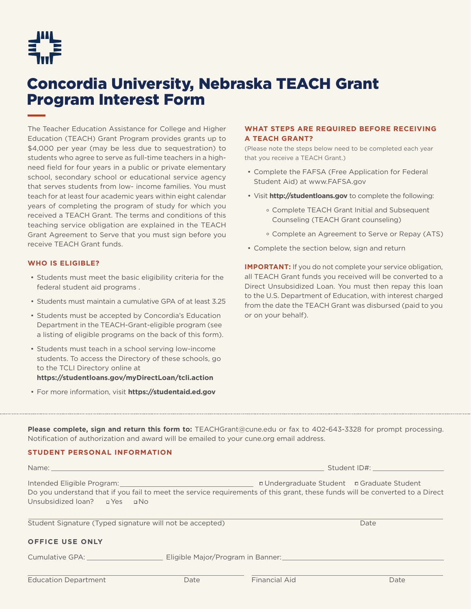

## Concordia University, Nebraska TEACH Grant Program Interest Form

The Teacher Education Assistance for College and Higher Education (TEACH) Grant Program provides grants up to \$4,000 per year (may be less due to sequestration) to students who agree to serve as full-time teachers in a highneed field for four years in a public or private elementary school, secondary school or educational service agency that serves students from low- income families. You must teach for at least four academic years within eight calendar years of completing the program of study for which you received a TEACH Grant. The terms and conditions of this teaching service obligation are explained in the TEACH Grant Agreement to Serve that you must sign before you receive TEACH Grant funds.

### **WHO IS ELIGIBLE?**

- Students must meet the basic eligibility criteria for the federal student aid programs .
- Students must maintain a cumulative GPA of at least 3.25
- Students must be accepted by Concordia's Education Department in the TEACH-Grant-eligible program (see a listing of eligible programs on the back of this form).
- Students must teach in a school serving low-income students. To access the Directory of these schools, go to the TCLI Directory online at **https://studentloans.gov/myDirectLoan/tcli.action**
- For more information, visit **https://studentaid.ed.gov**

### **WHAT STEPS ARE REQUIRED BEFORE RECEIVING A TEACH GRANT?**

(Please note the steps below need to be completed each year that you receive a TEACH Grant.)

- Complete the FAFSA (Free Application for Federal Student Aid) at www.FAFSA.gov
- Visit **http://studentloans.gov** to complete the following:
	- Complete TEACH Grant Initial and Subsequent Counseling (TEACH Grant counseling)
	- Complete an Agreement to Serve or Repay (ATS)
- Complete the section below, sign and return

**IMPORTANT:** If you do not complete your service obligation, all TEACH Grant funds you received will be converted to a Direct Unsubsidized Loan. You must then repay this loan to the U.S. Department of Education, with interest charged from the date the TEACH Grant was disbursed (paid to you or on your behalf).

**Please complete, sign and return this form to:** TEACHGrant@cune.edu or fax to 402-643-3328 for prompt processing. Notification of authorization and award will be emailed to your cune.org email address.

### **STUDENT PERSONAL INFORMATION**

| Name: and the state of the state of the state of the state of the state of the state of the state of the state                                                                                             |                                   | Student ID#:                               |      |
|------------------------------------------------------------------------------------------------------------------------------------------------------------------------------------------------------------|-----------------------------------|--------------------------------------------|------|
| Intended Eligible Program:<br>Do you understand that if you fail to meet the service requirements of this grant, these funds will be converted to a Direct<br>Unsubsidized loan? <b>I</b> Yes <b>II</b> No |                                   | n Undergraduate Student n Graduate Student |      |
| Student Signature (Typed signature will not be accepted)                                                                                                                                                   |                                   |                                            | Date |
| <b>OFFICE USE ONLY</b>                                                                                                                                                                                     |                                   |                                            |      |
| Cumulative GPA:                                                                                                                                                                                            | Eligible Major/Program in Banner: |                                            |      |

| <b>Education Department</b> | Date | Financial Aid | Date |
|-----------------------------|------|---------------|------|
|-----------------------------|------|---------------|------|